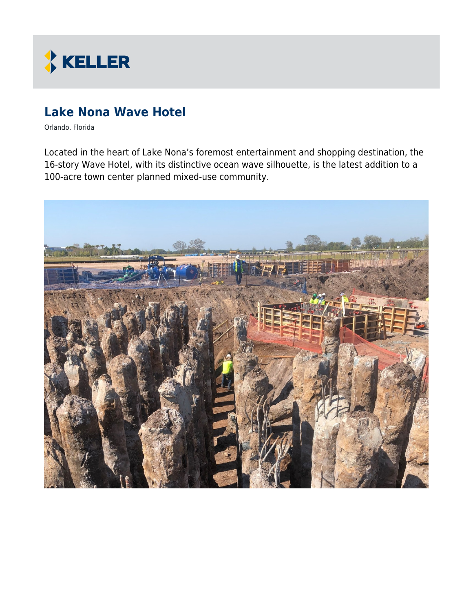

# **Lake Nona Wave Hotel**

Orlando, Florida

Located in the heart of Lake Nona's foremost entertainment and shopping destination, the 16-story Wave Hotel, with its distinctive ocean wave silhouette, is the latest addition to a 100-acre town center planned mixed-use community.

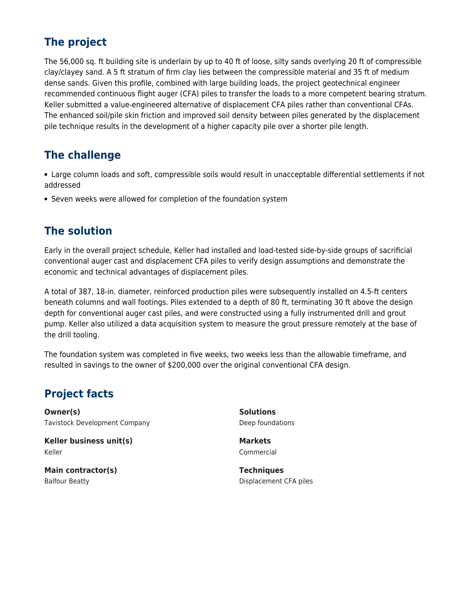### **The project**

The 56,000 sq. ft building site is underlain by up to 40 ft of loose, silty sands overlying 20 ft of compressible clay/clayey sand. A 5 ft stratum of firm clay lies between the compressible material and 35 ft of medium dense sands. Given this profile, combined with large building loads, the project geotechnical engineer recommended continuous flight auger (CFA) piles to transfer the loads to a more competent bearing stratum. Keller submitted a value-engineered alternative of displacement CFA piles rather than conventional CFAs. The enhanced soil/pile skin friction and improved soil density between piles generated by the displacement pile technique results in the development of a higher capacity pile over a shorter pile length.

#### **The challenge**

Large column loads and soft, compressible soils would result in unacceptable differential settlements if not addressed

• Seven weeks were allowed for completion of the foundation system

### **The solution**

Early in the overall project schedule, Keller had installed and load-tested side-by-side groups of sacrificial conventional auger cast and displacement CFA piles to verify design assumptions and demonstrate the economic and technical advantages of displacement piles.

A total of 387, 18-in. diameter, reinforced production piles were subsequently installed on 4.5-ft centers beneath columns and wall footings. Piles extended to a depth of 80 ft, terminating 30 ft above the design depth for conventional auger cast piles, and were constructed using a fully instrumented drill and grout pump. Keller also utilized a data acquisition system to measure the grout pressure remotely at the base of the drill tooling.

The foundation system was completed in five weeks, two weeks less than the allowable timeframe, and resulted in savings to the owner of \$200,000 over the original conventional CFA design.

## **Project facts**

**Owner(s)** Tavistock Development Company

**Keller business unit(s)** Keller

**Main contractor(s)** Balfour Beatty

**Solutions** Deep foundations

**Markets** Commercial

**Techniques** Displacement CFA piles